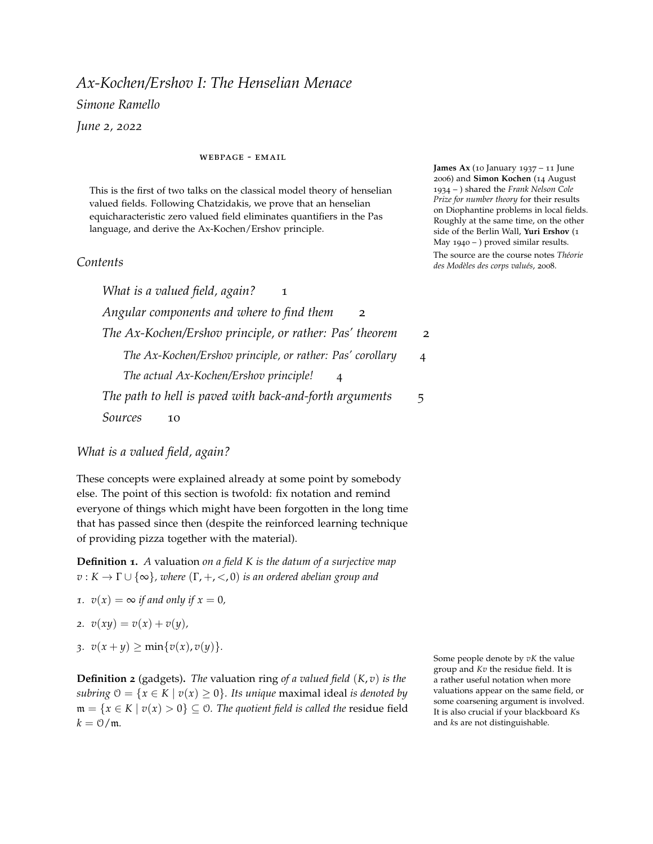# *Ax-Kochen/Ershov I: The Henselian Menace Simone Ramello June 2, 2022*

#### [webpage](https://simoneramello.net) - [email](mailto:sramello@uni-muenster.de)

This is the first of two talks on the classical model theory of henselian valued fields. Following Chatzidakis, we prove that an henselian equicharacteristic zero valued field eliminates quantifiers in the Pas language, and derive the Ax-Kochen/Ershov principle.

## *Contents*

*[What is a valued field, again?](#page-0-0)* 1 *[Angular components and where to find them](#page-1-0)* 2 *[The Ax-Kochen/Ershov principle, or rather: Pas' theorem](#page-1-1)* 2 *[The Ax-Kochen/Ershov principle, or rather: Pas' corollary](#page-3-0)* 4 *[The actual Ax-Kochen/Ershov principle!](#page-3-1)* 4 *[The path to hell is paved with back-and-forth arguments](#page-4-0)* 5 *[Sources](#page-9-0)* 10

<span id="page-0-0"></span>*What is a valued field, again?*

These concepts were explained already at some point by somebody else. The point of this section is twofold: fix notation and remind everyone of things which might have been forgotten in the long time that has passed since then (despite the reinforced learning technique of providing pizza together with the material).

**Definition 1.** *A* valuation *on a field K is the datum of a surjective map*  $v: K \to \Gamma \cup \{\infty\}$ , where  $(\Gamma, +, <, 0)$  *is an ordered abelian group and* 

- *1.*  $v(x) = \infty$  *if and only if*  $x = 0$ *,*
- *2.*  $v(xy) = v(x) + v(y)$ ,
- *3.*  $v(x + y) \ge \min\{v(x), v(y)\}.$

**Definition 2** (gadgets)**.** *The* valuation ring *of a valued field* (*K*, *v*) *is the subring*  $0 = \{x \in K \mid v(x) \ge 0\}$ *. Its unique* maximal ideal *is denoted by*  $m = {x ∈ K | v(x) > 0} ⊆ 0$ *. The quotient field is called the residue field*  $k = \frac{0}{m}$ .

Some people denote by *vK* the value group and *Kv* the residue field. It is a rather useful notation when more valuations appear on the same field, or some coarsening argument is involved. It is also crucial if your blackboard *K*s and *k*s are not distinguishable.

**James Ax** (10 January 1937 – 11 June 2006) and **Simon Kochen** (14 August 1934 – ) shared the *Frank Nelson Cole Prize for number theory* for their results on Diophantine problems in local fields. Roughly at the same time, on the other side of the Berlin Wall, **Yuri Ershov** (1 May 1940 – ) proved similar results. The source are the course notes *Théorie des Modèles des corps valués*, 2008.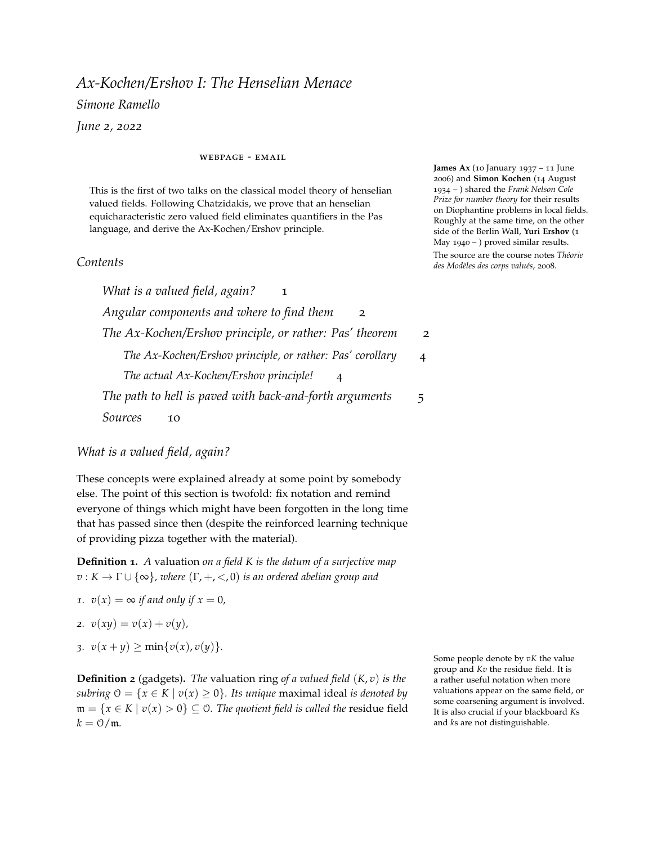We denote by  $\pi$  :  $\theta \rightarrow k$  the quotient map (also called the *residue map*). It is sometimes possible to extend  $\pi$  "coherently" to the whole of *K* at the cost of some assumptions on *K* (if you are quietly whispering to yourself "this must be a saturation thing", you're right) and of losing "control" on what happens on m. We'll discuss this later on.

**Example 3** (your friendly neighbourhood valued field)**.** *The p-adics*  $(Q_p, v_p)$  *have* **Z** *as value group and*  $\mathbb{F}_p$  *as residue field.* 

If there is any risk of confusion, we place subscripts on the gadgets:  $\mathcal{O}_K$ ,  $\mathfrak{m}_K$ ,  $k_K$ ,  $\Gamma_K$ , and so on.

**Remark** 4. Let  $\mathcal{L}_r = \{+, -, \cdot, 0, 1\}$  be the language of rings. Then *one might enlarge* L*<sup>r</sup> to a language for valued fields in various ways, e.g.*  $\mathcal{L}_v = \mathcal{L}_r \cup \{0\}$  *or*  $\mathcal{L}_d = \mathcal{L}_r \cup \{\ | \}.$ 

## <span id="page-1-0"></span>*Angular components and where to find them*

**Definition 5.** An angular component *is a map*  $ac: K \rightarrow k$  *such that* 

- *1.*  $ac(0) = 0$ *,*
- 2.  $\operatorname{ac}|_{K^{\times}} : K^{\times} \to k^{\times}$  *is a multiplicative group morphism,*
- *3.*  $ac(x) = \pi(x)$  for any  $x \in \mathbb{O}^\times$ , in other words ac extends the residue *map on the units.*

Angular components arise from sections of the value group: if *s* :  $\Gamma \rightarrow K$  is a section of the valuation, then  $\text{ac}(x) := \pi(x/s(x))$  is an angular component map. These sections in turn exist under some assumptions on the ambient structure. In most "natural" examples, one can write down these sections explicitly, and thus obtain explicit angular components; in general, it is a matter of saturation.

**Lemma 6.** *Every valued field has an elementary extension which admits a section of the valuation.*

*Sketch.* Starting with a pure subgroup  $\Delta \leq \Gamma$ , together with a partial section  $\Delta \rightarrow K$ , one might always find an elementary extension where this partial section extends. The result follows from iteration.  $\Box$ 

## <span id="page-1-1"></span>*The Ax-Kochen/Ershov principle, or rather: Pas' theorem*

**Definition 7.** We denote by  $\mathcal{L}_{\text{Pas}}$  the three-sorted language made up by:

- *i*. *the language of rings*  $\mathcal{L}_r = \{+,-, \cdot, 0,1\}$  *on the sorts* **K** *and* **k***,*
- *2. the language of ordered abelian groups*  $\mathcal{L}_g = \{+, -, <, 0, \infty\}$ ,
- *3. a symbol for a map*  $v : K \to \Gamma$  *and a symbol for a map*  $ac : K \to k$ *.*

In the case  $K = k((t))$  there is an obvious choice of ac, namely

$$
\mathrm{ac}(\sum_{n\geq N}a_nt^n)=a_N.
$$

One might check that if  $N = 0$ , i.e.  $\sum_{n\geq N} a_n t^n \in \mathcal{O}^\times$ , then this is exactly the residue map. One might build a similar map on  $\mathbb{Q}_p$  by  $\text{ac}(p) := 1$ .

The name "angular component" is a bit misleading. In fact, if we think of elements of  $k((t))$  as generalized Taylor series, the ac map does not return the *coefficient angulaire* of the function, i.e. the first derivative; it returns, instead, the *leading coefficient* of the series.

(to the tune of 'Let it be') *When I find myself in times of trouble Valued fields come to me Complete first-order theories A-K-E*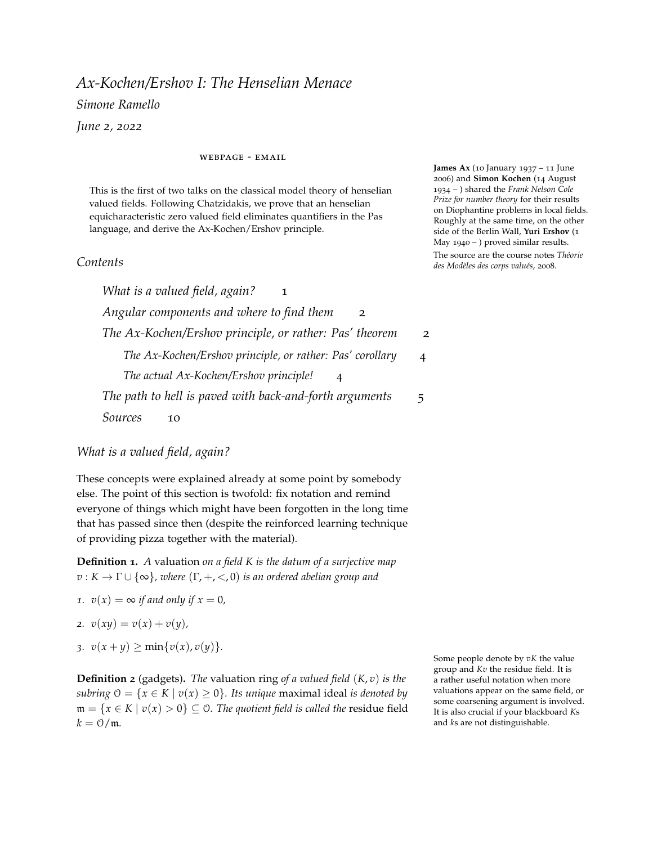**Definition 8.** Let  $T_0$  be the  $\mathcal{L}_{\text{Pas}}$ -theory that prescribes, of models  $(K, k, \Gamma \cup$ {∞}; *v*, ac)*:*

- *<i>1*. *K is a field*, Γ *is a ordered abelian group and*  $v : K → Γ ∪ {∞}$ *is a valuation,*
- *2.* (*K*, *v*) *is henselian,*
- *3. the map*  $\pi$  :  $\theta \rightarrow k$  *defined by*  $\pi(x) = \text{ac}(x)$  *if*  $v(x) = 0$ *, and*  $\pi(x) = 0$ *otherwise, is a surjective ring morphism with kernel* m*,*
- *4. k is a field of characteristic* 0*.*

*Under these hypotheses we have that*  $\mathcal{O}/\mathfrak{m} \cong k$ , and we identify them. *Moreover, given some fixed field k and ordered abelian group* Γ*, let T be the theory obtained from*  $T_0$  *by adjoining the full*  $\mathcal{L}_r$ *-theory of k and the full* L*g-theory of* Γ*.*

The idea is that this theory should capture the whole model theoretical information that contained in a henselian valued field of equicharacteristic zero; in other words, as an  $\mathcal{L}_{\text{Pas}}$ -structure  $(K, v)$ is little more than the sum of  $k_K$  and  $\Gamma_K$ . This will follow from completeness, which we obtain for free from a relative quantifier elimination result.

**Theorem 9** (Pas)**.** *T eliminates the* **K***-quantifier.*

This partial form of quantifier elimination will follow from a back-and-forth lemma:

**Lemma 10.** *Suppose* Σ *is a set of* L*-formulae closed under Boolean combinations. Let T be a theory and*  $\kappa > |\mathcal{L}|$ *. Then the following is sufficient to obtain quantifier elimination down to formulae in* Σ*: given two κ-saturated models M*, *N of T and an isomorphism between substructures*  $f: A \subseteq M \rightarrow B \subseteq N$  *with*  $|A| < \kappa$  *that preserves*  $\Sigma$ -formulae, for any  $a \in M$  *there is an isomorphism*  $g \supseteq f$  *between substructures of M and N that preserves* Σ*-formulae and whose domain contains a.*

We then set-up a back-and-forth of this form: start with two  $\mathcal{L}_{\text{Pas}}$ -structures  $(K, \Gamma_K, k_K)$ ,  $(L, \Gamma_L, k_L)$  *T* which are  $\aleph_1$ -saturated. Let Σ be the set of formulae which only contain quantifiers over **Γ** and **k**. Choose (*A*, Γ*A*, *kA*) and (*B*, Γ*B*, *kB*) countable substructures respectively of *M* and *N*. Given an isomorphism  $f : A \rightarrow B$  that preserves Σ-formulae, and *a* ∈ *M* \ *A*, we wish to extend *f* to a isomorphism of substructures whose domain contains *a*. To do so, we extend *f* to some  $(C, \Gamma_C, k_C) \preceq (K, \Gamma_K, k_K)$ , countable, with  $a \in C$ ; the procedure requires interweaving several steps ("dovetailing"):

1. extend  $k_A$  to  $k_C$ , obtaining  $(A, \Gamma_A, k_C)$ ,

One might say, *Oh, come on, only a relative result?*. As underwhelming as it is, one cannot really hope for more; if *k*<sub>*K*</sub> and Γ<sub>*K*</sub> are *bad*, then  $(K, v)$  ought to be *atleast* as bad: both these structures are interpretable in (*K*, *v*). Thus, all results around the model theory of (*K*, *v*) will have to be *relative* to the properties of  $k_K$  and  $\Gamma_K$ . If your residue field is e.g. **Q**, you can't really expect the valued field to be a decent, polite valued field.

Note that the isomorphism  $f : A \rightarrow B$ is an isomorphism of substructures, hence it is really threefold: there is an isomorphism  $f : A \longrightarrow B$ of valued fields, an isomorphism  $f_r$  :  $k_A \stackrel{\sim}{\longrightarrow} k_B$  of fields, and an isomorphism  $f_v$  :  $\Gamma_A \stackrel{\sim}{\longrightarrow} \Gamma_B$ . The latter two can really be recovered from the first one, by composing with the relevant maps.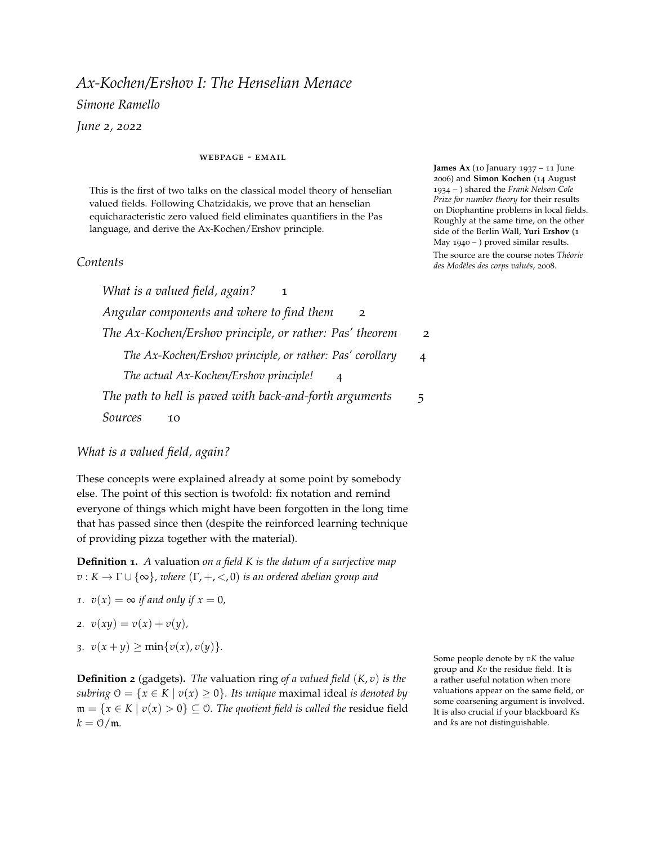- 2. extend  $\Gamma_A$  to  $\Gamma_C$ , obtaining  $(A, \Gamma_C, k_C)$ ,
- 3. replacing *A* with *A h* ,
- 4. extending *A* to make *π* surjective on *kC*,
- 5. extending *A* to make *v* surjective on Γ*C*,
- 6. extending  $(A, \Gamma_C, k_C)$  to the immediate extension  $(C, \Gamma_C, k_C)$ .

This will be done in [one of the next sections.](#page-4-0) But before that, let us see an application.

#### <span id="page-3-0"></span>*The Ax-Kochen/Ershov principle, or rather: Pas' corollary*

**Corollary 11.** *Given* (*K*, *v*) *and* (*L*, *w*) *henselian valued fields of equicharacteristic* 0*. Then,*

$$
(K,v) \equiv (L,w) \iff [k_K \equiv_{\mathcal{L}_r} k_L \wedge \Gamma_K \equiv_{\mathcal{L}_g} \Gamma_L].
$$

*Proof.* Note that we can always move to elementary extensions of  $(K, v)$  and  $(L, w)$  enriched with ac-maps, hence for the right to left direction it is enough to show that the theory *T* is complete. To do so, it is enough to notice that two of its models, say (*K*, Γ*K*, *kK*) and (*L*, Γ*L*, *kL*), both share a substructure, namely (**Q**, {0}, **Q**). Since *T* eliminates the **K**-quantifier, and  $\Gamma_K \equiv \Gamma_L$  and  $k_K \equiv k_L$ , this implies that  $(K, \Gamma_K, k_K) \equiv (L, \Gamma_L, k_L)$ .

The left to right direction requires less machinery: both the residue field and the value group are uniformly interpretable in (*K*, *v*) and (*L*, *w*) (with whatever valued fields language you choose), and hence they are elementarily equivalent if the ambient structures are.  $\Box$ 

#### <span id="page-3-1"></span>*The actual Ax-Kochen/Ershov principle!*

For a family of *L*-structures  $(M_q)_{q \in \mathbb{P}}$ , consider a non-principal ultrafilter  $\mu$  on the set of primes  $\mathbb{P}$ . Let  $\prod_{q \in \mathbb{P}} M_q / \mu$  be the ultraproduct with respect to *µ*.

**Corollary 12.**  $\prod_{q \in \mathbb{P}} \mathbb{Q}_q / \mu \equiv \prod_{q \in \mathbb{P}} \mathbb{F}_q((t))/\mu$ .

*Proof.* The two are henselian equicharacteristic 0 valued fields with the same residue field (the ultraproduct  $\prod_{q \in \mathbb{P}} \mathbb{F}_q / \mu$ ) and the same value group  $(\mathbb{Z})$ .  $\Box$ 

Before going on to the (rather tiresome) proof, let me mention one more result that might motivate all of this work. As a direct application of these results,

**Corollary 13.** *Consider finitely many polynomials*  $f_1, \ldots, f_\ell \in \mathbb{Z}[t]$ *. For all but finitely many primes q, every solution of*  $f_1(t) = \cdots = f_\ell(t) = 0$  *in*  $\mathbb{F}_p$ *gives rise to a solution in* **Z***p.*

The  $\equiv$  on the LHS is left purposefully generic. This is true for any language of valued fields, even without an angular component: this can be eliminated upon moving to a saturated extension, and is hence not taking any part in determining the theory of the structure.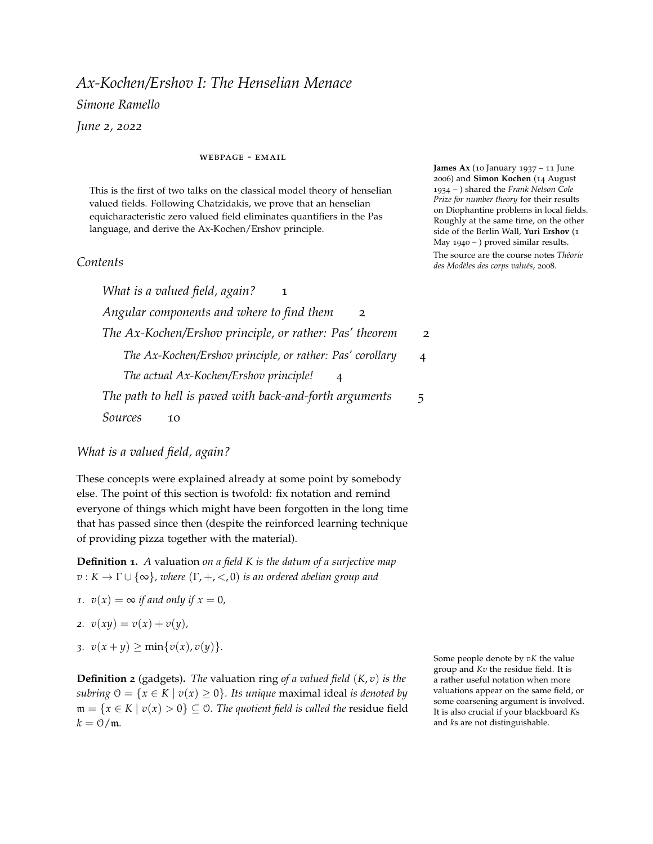## <span id="page-4-0"></span>*The path to hell is paved with back-and-forth arguments*

We finally come to the proof. As stated before, we start with two  $\mathcal{L}_{\text{Pas}}$ -structures  $(K, \Gamma_K, k_K)$ ,  $(L, \Gamma_L, k_L)$  *T* which are  $\aleph_1$ -saturated. We take  $\Sigma$  to be the set of formulae which only contain quantifiers over **Γ** and **k**. We'd like to write down a recipe that, given the following ingredients:

- 1.  $(A, \Gamma_A, k_A)$  and  $(B, \Gamma_B, k_B)$  countable substructures, respectively of *M* and *N*,
- 2. an isomorphism  $f : A \rightarrow B$  that preserves Σ-formulae,

$$
3. \ \ a \in M \setminus A,
$$

produces a new isomorphism of substructures  $g \supseteq f$  that still preserves Σ-formulae and whose domain contains *a*. More precisely, given  $(C, \Gamma_C, k_C) \preceq (K, \Gamma_K, k_K)$  which is countable and contains *a* we wish to extend *f* to *C*.

**Step 0** (the one that everyone forgets). The language we have chosen for the **Γ** sort forces  $\Gamma_A \leq \Gamma_K$ . However, the language we have chosen for **K** and **k** allows the possibility that *A* and  $k_A$  are only rings – we didn't include the inverse map! This is not really a problem: there is a canonical way to extend  $A$  and  $k_A$  to a field – namely, moving to the field of fractions. The valuation extends in a canonical way as well:  $v(a/b) = v(a) - v(b)$  for any  $a, b \neq 0$  from *K*; further,  $ac(a/b) = ac(a)/ac(b)$ . The isomorphism *f* extends uniquely to an isomorphism of the fraction fields (again,  $f(a/b) = f(a)/f(b)$ for  $a, b \neq 0$ ).

It is then safe to assume that both *A* and  $k_A$  are fields. By saying "extending  $k_A$  to  $k_C$ ," what

**Step 1**: extending  $k_A$  to  $k_C$ .

Since  $k_C$  is countable, let  $(c_i)_{i<\omega}$  be an enumeration of it. Before writing down the details, who might obscure the content, let me explain the idea: a "new" element – say,  $c_0$  – that has to be added to  $k_A$  must be mapped to an element  $b_0 \in k_L$  that has the same relationship to  $k_B$  as  $c_0$  has to  $k_A$ . This is encoded in the  $\mathcal{L}_r(k_A)$ -type of  $c_0$ , which can be readily translated into an  $\mathcal{L}_r(k)$ -type by letting  $f_r$  – which is an isomorphism, so "preserves information" in the strongest sense possible – act on the parameters. Formally, consider the type  $p(x) = \text{tp}_{\mathbf{k}}(c_0/k_A)$ . Consider the type  $q(y)$  given by the following procedure: if  $\varphi(x,\bar{c}) \in p(x)$ , where  $\bar{c}$  is a tuple from  $k_A$ , then  $\varphi(y, f_r(\bar{c})) \in q(y)$ .

new isomorphism is expected to respect Σ-formulae.

I really mean is: prescribe a unique recipe to extend the given map *f* to the structure  $(A, \Gamma_A, k_C)$ , so that we may assume that  $k_A = k_C$ . This wording will appear again in the next steps, always with this meaning. In fact, the whole proof rests on the "assumption" – read, Steps 1-5 – that one can only work with immediate extensions.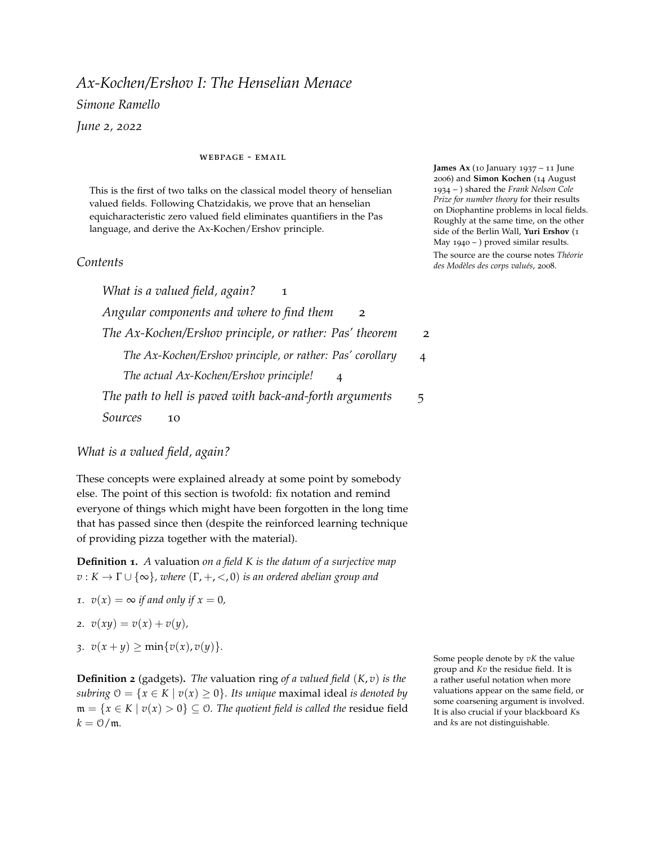

Since *L* is  $\aleph_1$ -saturated, we can realize  $q(y)$ : let  $b_0$  *q*(*y*). Then the map  $c_0 \mapsto b_0$  extends to an isomorphism  $f'_r : k_A(c_0) \to k_B(b_0)$ .

We can thus extend  $f$  to the isomorphism of  $\mathcal{L}_{\text{Pas}}$ -structures

$$
(f, f_v, f'_r): (k_A, \Gamma_A, k_A(c_0)) \xrightarrow{\sim} (k_B, \Gamma_B, k_B(b_0)).
$$

We need to check that the new isomorphism preserves Σ-formulae. However, a moment of unpleasant yet straightforward syntactic reflection will bring us to the conclusion that, to preserve Σ-formulae, one really only needs to preserve formulae of the form

$$
\psi_0(x_0) \wedge \psi_1(v(t_1(x)), y_1) \wedge \psi_2(\text{ac}(t_2(x)), y_2)
$$

where  $\psi_0(x_0)$  is a *quantifier-free*  $\mathcal{L}_r$ -formula with  $x_0$  of sort **K**,  $\psi_1(x_1, y_1)$ is an  $\mathcal{L}_{g}$ -formula and  $\psi_2(x_2, y_2)$  is an  $\mathcal{L}_{r}$ -formula, with  $x_2, y_2$  of sort **k**, and further  $t_1$  and  $t_2$  are tuples of terms obtained from the field operations. After this shortcut, it is relatively immediate to notice that As the **K**-sort of *A* didn't change, we the new isomorphism preserves these formulae (essentially because of the compatibility with ac and *v*).

We repeat the procedure we have just described countably many times, thus exhausting  $(c_i)_{i \leq \omega}$ . We can hence assume that *f* is an isomorphism defined on the substructure structure  $(A, \Gamma_A, k_C)$ .

**Step 2**: extending  $\Gamma_A$  to  $\Gamma_C$ .

This procedure mirrors the procedure in Step 1: we take a new element in Γ*C*, take its type over Γ*A*, realize it on the other side of the river by virtue of the isomorphism *f<sup>v</sup>* and map one new element to the other. The new isomorphism will then again preserve Σ-formulae. Note that this procedure didn't touch the **k**-sort, hence we can repeat it countably many times without breaking what we did in Step 1. From now on, we can assume that *f* is defined on  $(A, \Gamma_C, k_C)$ .

*Interlude*: in the next steps, we shall seek to extend *f* on the **K**-sort,

Note that  $p(x)$  records whether  $c_0$ was algebraic or transcendental over *kA*, and hence the same will hold for  $b_0$  over  $k_B$ . The construction of the new isomorphism is then a purely field-theoretic question.

don't need to check what happens to *v* and ac, as the compatibility will be automatically satisfied.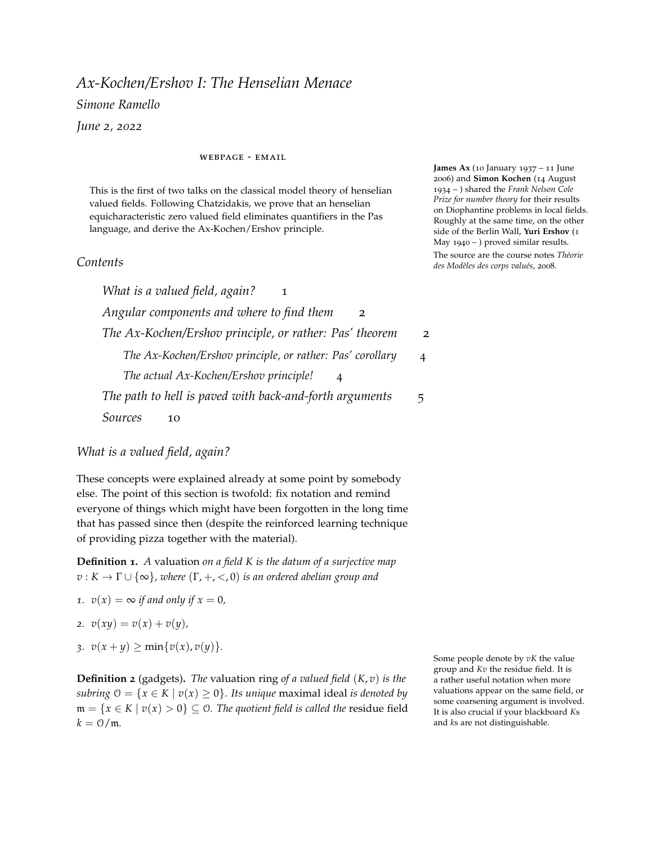while still preserving  $\Sigma$ -formulae. Note that, by the annoying syntactic meditation we performed a couple of paragraphs above, this is unnecessary: if we extend  $f$  to  $f'$ , defined on some  $A'$ , then surely  $f'$ will preserve  $\psi_0$  (as it is quantifier-free),  $f'_v$  will preserve  $\psi_1$  (since for any  $a \in A'$  we have  $v(t_1(a)) \in v(A) = \Gamma_C$  and  $f'_r$  will preserve  $\psi_2$ (since for any  $a \in A'$  we have  $\operatorname{ac}(t_2(a)) \in k_A = k_C$ ). By virtue of Steps 1 and 2, we then only need to check that  $f'$  is a  $\mathcal{L}_{\text{Pas}}$ -isomorphism.

**Step 3**: extending A to  $A^h$ .

Note that *C* (as a valued field) is henselian, since henselianity is a first-order property. In particular, then, by the universal property of henselizations *C* will contain a copy (over *A*) of *A h* . Let's call it *A h* . One can then argue that  $A^h = C \cap A^{alg}$ , and similarly  $B^h = L \cap B^{alg}$ . In particular, *f* extends to  $f'$  :  $A^h \stackrel{\sim}{\longrightarrow} B^h$ . We need to check that is a  $\mathcal{L}_{\mathrm{Pas}}$ -isomorphism: as  $A^h$  is an immediate extension (i.e., it has the same residue field and value group), given  $a \in A^h \setminus A$ , there is  $a' \in A$ such that  $v(a - a') > v(a) = v(a')$ , in particular then  $a = a'(1 + u)$ with  $v(u) > 0$ , so  $\text{ac}(a) = \text{ac}(a')$ . Hence  $v^h(f(a) - f(a')) > v^h(f(a))$ , and  $ac(f(a)) = ac(f(a')) = f(ac(a)).$ 

The new map  $(f', f_v, f_r)$  defined on  $(A<sup>h</sup>, \Gamma_C, k_C)$  is a isomorphism of  $\mathcal{L}_{\text{Pas}}$ -structures, and thus we may assume that  $A = A^h$  (i.e., A is henselian).

*Interlude:* at this point, it is worth noting that it is entirely possible that  $v(A^{\times}) \subsetneq \Gamma_A$  and  $\operatorname{ac}(A) \subsetneq k_A$ . In other words, the residue field of *A* might be strictly smaller than *kA*, and its value group might be strictly smaller than Γ*A*. We then have to extend *f* to something with residue field  $k_A$  or, from the opposite point of view, "lift" the full *k<sup>A</sup>* to an extension of *A*. This step will take the difficulty of the argument up a notch.

**Step** 4: extend *f* to a subfield *D*  $\subseteq$  *C* such that  $\pi(\mathcal{O}_D) = k_D$ .

Denote by  $k_A^-$  the residue field of *A*, with valuation ring  $\mathcal{O}_A$ . Similarly, denote by  $k_B^-$  the residue field of *B*, with valuation ring  $\mathcal{O}_B$ . Take  $\alpha_0 \in k_C \setminus k_C^-$ . We have two possibilities: either  $\alpha_0$  is algebraic over  $k_A^-$ , or it is trascendental.

*Step 4.a*:  $\alpha_0$  is algebraic over  $k_A^-$ . Let  $P(t) \in \mathcal{O}_A[t]$  be such that  $\bar{P}(t)$  is the minimal polynomial of  $\alpha_0$  over  $k_A^-$ , and *P* and  $\bar{P}$  have the same degree. Then  $P(t)$  is also irreducible and, since  $k_K$  has characteristic zero,  $\alpha_0$  is a simple zero of  $\overline{P}$  and hence it lifts to  $a \in \mathcal{O}_C$ by henselianity. In particular,  $P(a) = 0$  and  $\pi(a) = \alpha_0$ .

Let  $P^f(t)$  be the polynomial obtained by letting  $f$  act on the coefficients of *P*. As *f* is an isomorphism,  $\bar{P}^{f_r}(t)$  is irreducible over  $k_B^-$  and has  $f_r(\alpha_0)$  as a simple root. By henselianity once again, there is  $b \in L$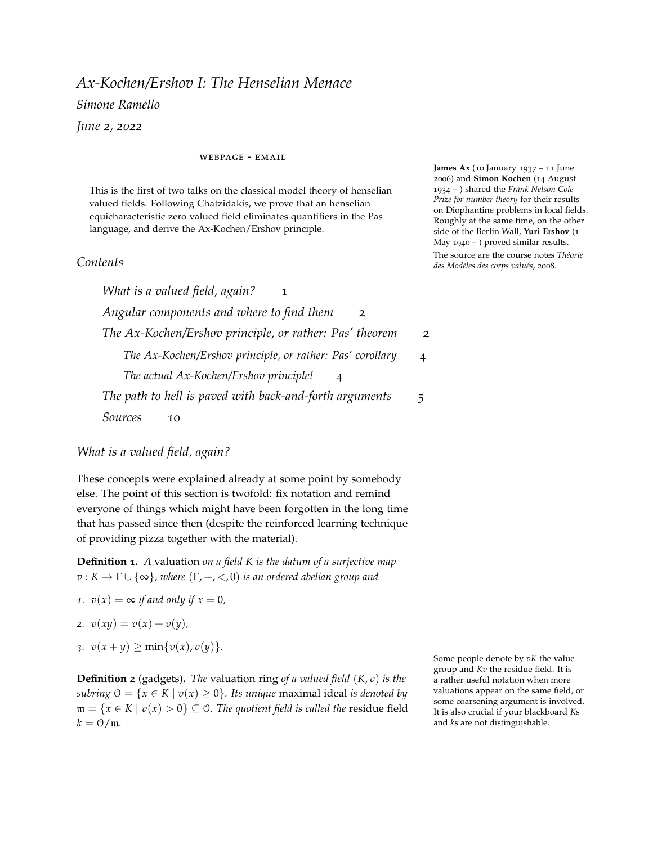such that  $\pi(b) = f_r(\alpha_0)$  and  $P^f(b) = 0$ . We extend  $f$  to  $f'$  defined on *A*(*a*) in the only way imaginable: by extending the map  $a \mapsto b$ .



Note that, if  $n = \deg P$ , then  $1, \pi(a), \ldots, \pi(a^{n-1})$  are  $k_A^-$ -linearly independent, and hence

$$
v(\sum_{i=0}^{n-1}c_i a^i) = \min_{i=0,...n-1}\{v(c_i)\}.
$$

Similarly,  $1, \pi(b), \ldots, \pi(b^{n-1})$  are  $k_B^-$ -linearly independent. In particular, the map  $f'$  is an isomorphism of valued fields between  $A(a)$  and  $B(b)$ . As the value groups of *A* and  $A(a)$  are the same, any element of  $A(a)$  can be written as  $ub$ , where  $v(u) = 0$  and  $b \in A$ . Hence  $f'$ commutes both with  $\pi$  and ac, in particular it is a  $\mathcal{L}_{\text{Pas}}$ -isomorphism.

*Step 4.b*:  $\alpha_0$  is not algebraic over  $k_A^-$ . Pick  $a \in C$  with  $\pi(a) = \alpha_0$  and  $b \in L$  with  $\pi(b) = f_r(\alpha_0)$ . Both *a* and *b* are transcendental over *A* and *B* and hence, for any  $c_0$ , . . .  $c_n \in A$ ,

$$
v(\sum_{i} c_i a^i) = \min_{i} v(c_i),
$$
  

$$
v'(\sum_{i} f(c_i) b^i) = \min_{i} v'(f(c_i)) = f_v(\min_{i} v(c_i)) = f_v(v(\sum_{i} c_i a^i)),
$$

so the map  $f' : A(a) \to B(b)$  is an isomorphism of valued fields, which is again a  $\mathcal{L}_{\text{Pas}}$ -isomorphism.

Upon repeating this procedure, we may assume that  $k_A^- = k_A = k_C$ , in other words that the residue field of *A* is precisely  $k_C$ . Once again, it is worth reminding

**Step 5**: extend *f* to a subfield *E* of *C* such that  $v(E^{\times}) = \Gamma_C$ .

As before, denote by  $\Gamma_A^-$  the value group of *A*. This procedure will strongly imitate the previous Step: the dichotomy algebraic *vs.*

that by  $f'$  is a  $\mathcal{L}_{\text{Pas}}$ -isomorphism" I really mean that  $(f', f_r, f_v)$  is a  $\mathcal{L}_{\text{Pas}}$ isomorphism.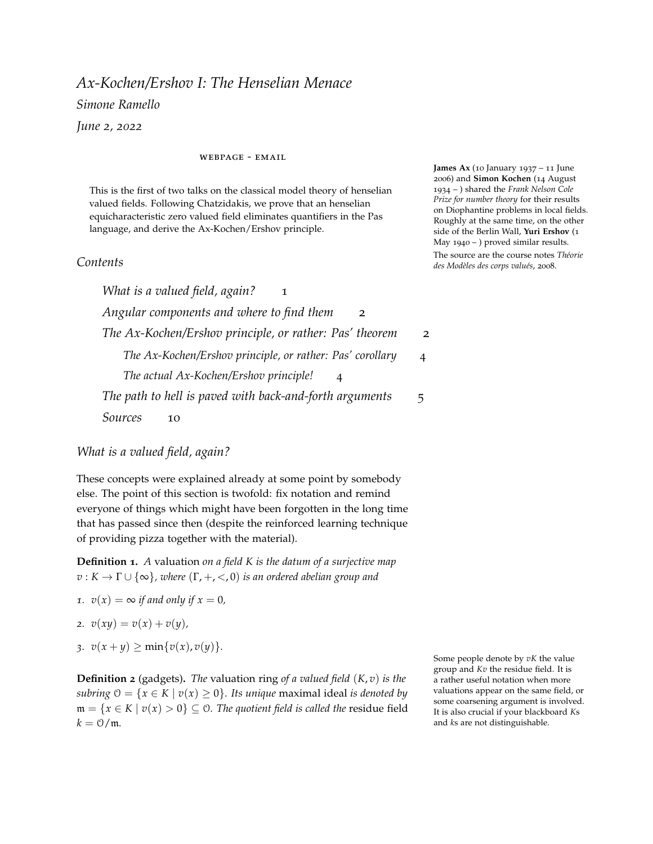transcendental will be substituted by the dichotomy torsion modulo

 $\Gamma_A$  *vs.* no torsion modulo  $\Gamma_A^-$ .

Suppose  $\alpha \in \Gamma_A \setminus \Gamma_A^-$ , with  $\alpha > 0$ .

*Step 5.a*: assume that for all natural numbers  $n > 0$  we have *n* $\alpha \notin \Gamma_A^-$ . Then, given  $a \in C$  with  $v(a) = \alpha$ , we necessarily have that *a* 

is transcendental over *A*: otherwise, if for example

$$
a^n + c_{n-1}a^{n-1} + \cdots + c_0 = 0
$$

for  $c_0$ , . . .  $c_{n-1} \in A$ , then

$$
n\alpha = v(a^n) = v(\sum_{i=0}^{n-1} -c_{n-1}a^i) = \min_{i=0,...n-1} v(c_i) \in \Gamma_A^-.
$$

Similarly, if we choose  $b \in L$  such that  $v'(b) = f_r(\alpha)$ , then *b* is transcendental over *B*. Without loss of generality, we may assume that  $ac(a) = 1$  and  $ac'(b) = 1$ , and then the extension  $f'$  of  $f$  to  $A(a)$ , mapping *a* to *b*, is a valued field isomorphism, and hence  $(f', f_r, f_v)$  is an  $\mathcal{L}_{\text{Pas}}$ -isomorphism.

*Step 5.b*: suppose there is *n* > 0 such that *n* $\alpha \in \Gamma_A^-$ . Take *N* such minimal. Then we can choose  $a \in C$  with  $v(a) = \alpha$  and  $a^N \in A$ , and similarly  $c \in L$  with  $c^N \in B$  and  $v'(c) = f_v(\alpha)$ . The element  $c$  is thus algebraic over *B*, and since  $f(k_C) \leq k_L$ , we can find  $d \in \mathcal{O}_B$  such that

$$
\pi(d) = f_r(\operatorname{ac}(a))\operatorname{ac}(c^{-1})
$$

and thus, modulo multiplying *c* by *d*, we can assume without loss of generality that  $ac(c) = f_r(ac(a))$ . Then

$$
f(a^N) = c^N(1+u)
$$

with  $v'(u) > 0$ . We may choose  $d \in L$  with  $\pi(d) = 1$  and  $d^N = 1 + u$ , so let *b* := *cd*. By construction,  $f' : A(a) \rightarrow B(b)$  sending *a* to *b* is an  $\mathcal{L}_{\text{Pas}}$ -isomorphism.

By iterating this procedure, we may assume that  $\Gamma_A^- = \Gamma_A = \Gamma_C$ .

Now, a moment of reflection: the Steps 3, 4, and 5 have not touched Γ*<sup>A</sup>* or *k<sup>A</sup>* in any way. All of the modifications happened on the **K**-level, on *A*, and thus we haven't ruined all of our previous work. Phew!

**Step 6**: the final rush. You might think to yourself: this is easy! As we did in Step 1 and 2, we take a new element  $\alpha \in C \setminus A$ , identify its type over *A*, translate it to the other side and realize it to obtain a potential image of *α*. There is a crucial subtlety here. We will, in a moment, realize that new elements can only be transcendental over *A*; however, *A* has more structure that *kA*: there is a valuation, which gives us a further layer, or *dimension*, to think about. While any polynomial  $P(t) \in A[t]$  will not vanish on  $\alpha$ , by virtue of  $\alpha$  being